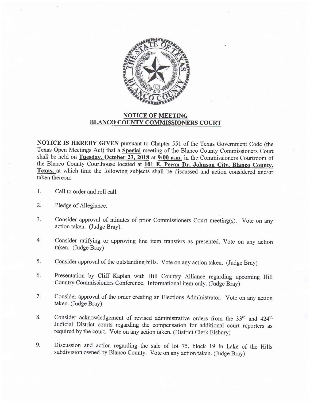

## NOTICE OF MEETING BLANCO COUNTY COMMISSIONERS COURT

NOTICE IS HEREBY GIVEN pursuant to Chapter 551 of the Texas Government Code (the Texas Open Meetings Act) that a Special meeting of the Blanco County Commissioners Court shall be held on Tuesday, October 23, 2018 at  $9:00$  a.m. in the Commissioners Courtroom of the Blanco County Courthouse located at 101 E. Pecan Dr. Johnson City, Blanco County, Texas, at which time the following subjects shall be discussed and action considered and/or taken thereon:

- l. Call to order and roll call.
- 2. Pledge of Allegiance.
- $3<sub>1</sub>$ Consider approval of minutes of prior Commissioners Court meeting(s). Vote on any action taken. (Judge Bray).
- 4. Consider ratifying or approving line item transfers as presented. Vote on any action taken. (Judge Bray)
- Consider approval of the outstanding bills. Vote on any action taken. (Judge Bray) 5.
- Presentation by Cliff Kaplan with Hill Country Alliance regarding upcoming Hill country commissioners conference. Informational item only. (Judge Bray) 6.
- Consider approval of the order creating an Elections Administrator. Vote on any action taken. (Judge Bray) 7.
- Consider acknowledgement of revised administrative orders from the 33rd and 424<sup>th</sup> Judicial District courts regarding the compensation for additional court reporters as required by the court. Vote on any action taken. (District Clerk Elsbury) 8.
- Discussion and action regarding the sale of lot 75, block 19 in Lake of the Hills subdivision owned by Blanco County. Vote on any action taken. (Judge Bray) 9.